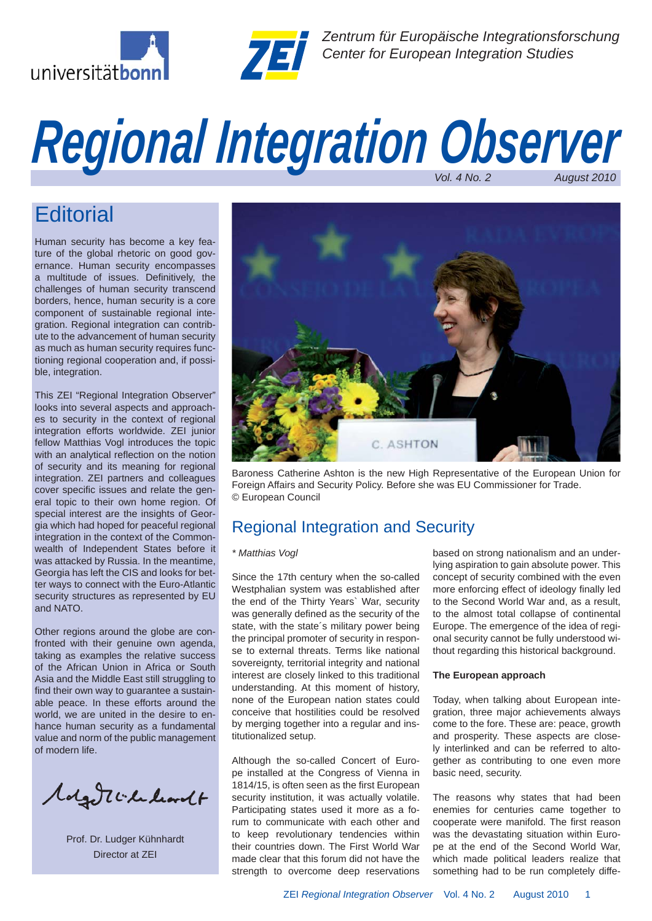



*Zentrum für Europäische Integrationsforschung Center for European Integration Studies*

# *Regional Integration Observer*

# **Editorial**

Human security has become a key feature of the global rhetoric on good governance. Human security encompasses a multitude of issues. Definitively, the challenges of human security transcend borders, hence, human security is a core component of sustainable regional integration. Regional integration can contribute to the advancement of human security as much as human security requires functioning regional cooperation and, if possible, integration.

This ZEI "Regional Integration Observer" looks into several aspects and approaches to security in the context of regional integration efforts worldwide. ZEI junior fellow Matthias Vogl introduces the topic with an analytical reflection on the notion of security and its meaning for regional integration. ZEI partners and colleagues cover specific issues and relate the general topic to their own home region. Of special interest are the insights of Georgia which had hoped for peaceful regional integration in the context of the Commonwealth of Independent States before it was attacked by Russia. In the meantime, Georgia has left the CIS and looks for better ways to connect with the Euro-Atlantic security structures as represented by EU and NATO.

Other regions around the globe are confronted with their genuine own agenda, taking as examples the relative success of the African Union in Africa or South Asia and the Middle East still struggling to find their own way to guarantee a sustainable peace. In these efforts around the world, we are united in the desire to enhance human security as a fundamental value and norm of the public management of modern life.

Molgott Chalcordt

Prof. Dr. Ludger Kühnhardt Director at ZEI



Baroness Catherine Ashton is the new High Representative of the European Union for Foreign Affairs and Security Policy. Before she was EU Commissioner for Trade. © European Council

# Regional Integration and Security

# *\* Matthias Vogl*

Since the 17th century when the so-called Westphalian system was established after the end of the Thirty Years` War, security was generally defined as the security of the state, with the state´s military power being the principal promoter of security in response to external threats. Terms like national sovereignty, territorial integrity and national interest are closely linked to this traditional understanding. At this moment of history, none of the European nation states could conceive that hostilities could be resolved by merging together into a regular and institutionalized setup.

Although the so-called Concert of Europe installed at the Congress of Vienna in 1814/15, is often seen as the first European security institution, it was actually volatile. Participating states used it more as a forum to communicate with each other and to keep revolutionary tendencies within their countries down. The First World War made clear that this forum did not have the strength to overcome deep reservations based on strong nationalism and an underlying aspiration to gain absolute power. This concept of security combined with the even more enforcing effect of ideology finally led to the Second World War and, as a result, to the almost total collapse of continental Europe. The emergence of the idea of regional security cannot be fully understood without regarding this historical background.

# **The European approach**

Today, when talking about European integration, three major achievements always come to the fore. These are: peace, growth and prosperity. These aspects are closely interlinked and can be referred to altogether as contributing to one even more basic need, security.

The reasons why states that had been enemies for centuries came together to cooperate were manifold. The first reason was the devastating situation within Europe at the end of the Second World War, which made political leaders realize that something had to be run completely diffe-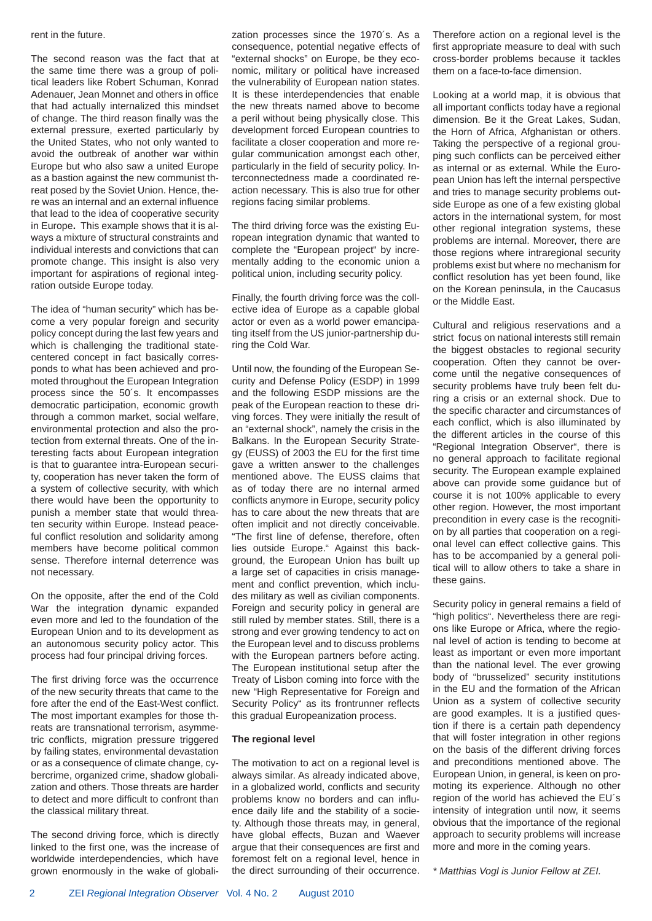#### rent in the future.

The second reason was the fact that at the same time there was a group of political leaders like Robert Schuman, Konrad Adenauer, Jean Monnet and others in office that had actually internalized this mindset of change. The third reason finally was the external pressure, exerted particularly by the United States, who not only wanted to avoid the outbreak of another war within Europe but who also saw a united Europe as a bastion against the new communist threat posed by the Soviet Union. Hence, there was an internal and an external influence that lead to the idea of cooperative security in Europe**.** This example shows that it is always a mixture of structural constraints and individual interests and convictions that can promote change. This insight is also very important for aspirations of regional integration outside Europe today.

The idea of "human security" which has become a very popular foreign and security policy concept during the last few years and which is challenging the traditional statecentered concept in fact basically corresponds to what has been achieved and promoted throughout the European Integration process since the 50´s. It encompasses democratic participation, economic growth through a common market, social welfare, environmental protection and also the protection from external threats. One of the interesting facts about European integration is that to guarantee intra-European security, cooperation has never taken the form of a system of collective security, with which there would have been the opportunity to punish a member state that would threaten security within Europe. Instead peaceful conflict resolution and solidarity among members have become political common sense. Therefore internal deterrence was not necessary.

On the opposite, after the end of the Cold War the integration dynamic expanded even more and led to the foundation of the European Union and to its development as an autonomous security policy actor. This process had four principal driving forces.

The first driving force was the occurrence of the new security threats that came to the fore after the end of the East-West conflict. The most important examples for those threats are transnational terrorism, asymmetric conflicts, migration pressure triggered by failing states, environmental devastation or as a consequence of climate change, cybercrime, organized crime, shadow globalization and others. Those threats are harder to detect and more difficult to confront than the classical military threat.

The second driving force, which is directly linked to the first one, was the increase of worldwide interdependencies, which have grown enormously in the wake of globalization processes since the 1970´s. As a consequence, potential negative effects of "external shocks" on Europe, be they economic, military or political have increased the vulnerability of European nation states. It is these interdependencies that enable the new threats named above to become a peril without being physically close. This development forced European countries to facilitate a closer cooperation and more regular communication amongst each other, particularly in the field of security policy. Interconnectedness made a coordinated reaction necessary. This is also true for other regions facing similar problems.

The third driving force was the existing European integration dynamic that wanted to complete the "European project" by incrementally adding to the economic union a political union, including security policy.

Finally, the fourth driving force was the collective idea of Europe as a capable global actor or even as a world power emancipating itself from the US junior-partnership during the Cold War.

Until now, the founding of the European Security and Defense Policy (ESDP) in 1999 and the following ESDP missions are the peak of the European reaction to these driving forces. They were initially the result of an "external shock", namely the crisis in the Balkans. In the European Security Strategy (EUSS) of 2003 the EU for the first time gave a written answer to the challenges mentioned above. The EUSS claims that as of today there are no internal armed conflicts anymore in Europe, security policy has to care about the new threats that are often implicit and not directly conceivable. "The first line of defense, therefore, often lies outside Europe." Against this background, the European Union has built up a large set of capacities in crisis management and conflict prevention, which includes military as well as civilian components. Foreign and security policy in general are still ruled by member states. Still, there is a strong and ever growing tendency to act on the European level and to discuss problems with the European partners before acting. The European institutional setup after the Treaty of Lisbon coming into force with the new "High Representative for Foreign and Security Policy" as its frontrunner reflects this gradual Europeanization process.

## **The regional level**

The motivation to act on a regional level is always similar. As already indicated above, in a globalized world, conflicts and security problems know no borders and can influence daily life and the stability of a society. Although those threats may, in general, have global effects, Buzan and Waever arque that their consequences are first and foremost felt on a regional level, hence in the direct surrounding of their occurrence. Therefore action on a regional level is the first appropriate measure to deal with such cross-border problems because it tackles them on a face-to-face dimension.

Looking at a world map, it is obvious that all important conflicts today have a regional dimension. Be it the Great Lakes, Sudan, the Horn of Africa, Afghanistan or others. Taking the perspective of a regional grouping such conflicts can be perceived either as internal or as external. While the European Union has left the internal perspective and tries to manage security problems outside Europe as one of a few existing global actors in the international system, for most other regional integration systems, these problems are internal. Moreover, there are those regions where intraregional security problems exist but where no mechanism for conflict resolution has yet been found, like on the Korean peninsula, in the Caucasus or the Middle East.

Cultural and religious reservations and a strict focus on national interests still remain the biggest obstacles to regional security cooperation. Often they cannot be overcome until the negative consequences of security problems have truly been felt during a crisis or an external shock. Due to the specific character and circumstances of each conflict, which is also illuminated by the different articles in the course of this "Regional Integration Observer", there is no general approach to facilitate regional security. The European example explained above can provide some guidance but of course it is not 100% applicable to every other region. However, the most important precondition in every case is the recognition by all parties that cooperation on a regional level can effect collective gains. This has to be accompanied by a general political will to allow others to take a share in these gains.

Security policy in general remains a field of "high politics". Nevertheless there are regions like Europe or Africa, where the regional level of action is tending to become at least as important or even more important than the national level. The ever growing body of "brusselized" security institutions in the EU and the formation of the African Union as a system of collective security are good examples. It is a justified question if there is a certain path dependency that will foster integration in other regions on the basis of the different driving forces and preconditions mentioned above. The European Union, in general, is keen on promoting its experience. Although no other region of the world has achieved the EU´s intensity of integration until now, it seems obvious that the importance of the regional approach to security problems will increase more and more in the coming years.

*\* Matthias Vogl is Junior Fellow at ZEI.*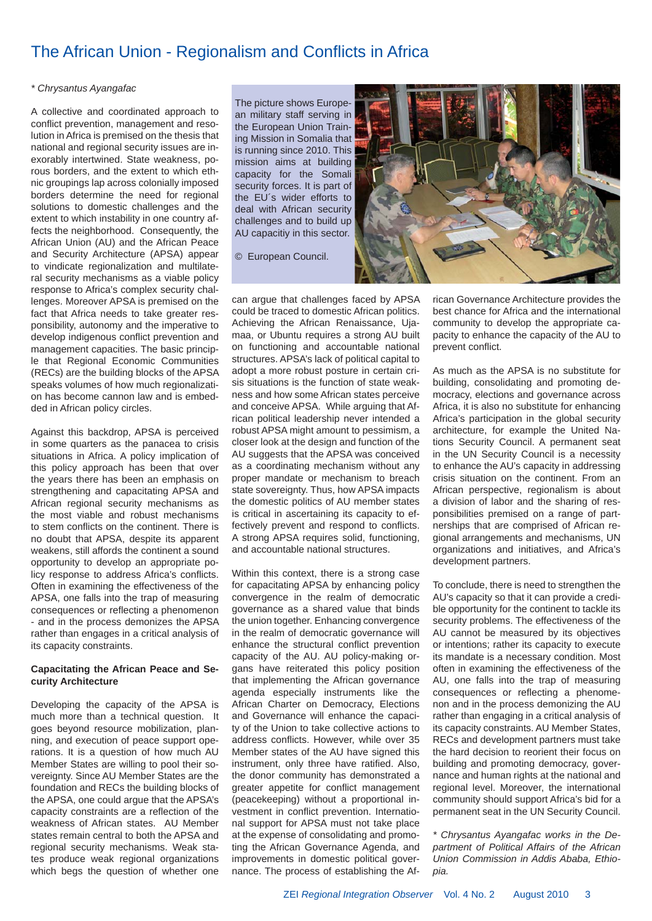# The African Union - Regionalism and Conflicts in Africa

# *\* Chrysantus Ayangafac*

A collective and coordinated approach to conflict prevention, management and resolution in Africa is premised on the thesis that national and regional security issues are inexorably intertwined. State weakness, porous borders, and the extent to which ethnic groupings lap across colonially imposed borders determine the need for regional solutions to domestic challenges and the extent to which instability in one country affects the neighborhood. Consequently, the African Union (AU) and the African Peace and Security Architecture (APSA) appear to vindicate regionalization and multilateral security mechanisms as a viable policy response to Africa's complex security challenges. Moreover APSA is premised on the fact that Africa needs to take greater responsibility, autonomy and the imperative to develop indigenous conflict prevention and management capacities. The basic principle that Regional Economic Communities (RECs) are the building blocks of the APSA speaks volumes of how much regionalization has become cannon law and is embedded in African policy circles.

Against this backdrop, APSA is perceived in some quarters as the panacea to crisis situations in Africa. A policy implication of this policy approach has been that over the years there has been an emphasis on strengthening and capacitating APSA and African regional security mechanisms as the most viable and robust mechanisms to stem conflicts on the continent. There is no doubt that APSA, despite its apparent weakens, still affords the continent a sound opportunity to develop an appropriate policy response to address Africa's conflicts. Often in examining the effectiveness of the APSA, one falls into the trap of measuring consequences or reflecting a phenomenon - and in the process demonizes the APSA rather than engages in a critical analysis of its capacity constraints.

# **Capacitating the African Peace and Security Architecture**

Developing the capacity of the APSA is much more than a technical question. It goes beyond resource mobilization, planning, and execution of peace support operations. It is a question of how much AU Member States are willing to pool their sovereignty. Since AU Member States are the foundation and RECs the building blocks of the APSA, one could argue that the APSA's capacity constraints are a reflection of the weakness of African states. AU Member states remain central to both the APSA and regional security mechanisms. Weak states produce weak regional organizations which begs the question of whether one The picture shows European military staff serving in the European Union Training Mission in Somalia that is running since 2010. This mission aims at building capacity for the Somali security forces. It is part of the EU´s wider efforts to deal with African security challenges and to build up AU capacitiy in this sector.

© European Council.

can argue that challenges faced by APSA could be traced to domestic African politics. Achieving the African Renaissance, Ujamaa, or Ubuntu requires a strong AU built on functioning and accountable national structures. APSA's lack of political capital to adopt a more robust posture in certain crisis situations is the function of state weakness and how some African states perceive and conceive APSA. While arguing that African political leadership never intended a robust APSA might amount to pessimism, a closer look at the design and function of the AU suggests that the APSA was conceived as a coordinating mechanism without any proper mandate or mechanism to breach state sovereignty. Thus, how APSA impacts the domestic politics of AU member states is critical in ascertaining its capacity to effectively prevent and respond to conflicts. A strong APSA requires solid, functioning, and accountable national structures.

Within this context, there is a strong case for capacitating APSA by enhancing policy convergence in the realm of democratic governance as a shared value that binds the union together. Enhancing convergence in the realm of democratic governance will enhance the structural conflict prevention capacity of the AU. AU policy-making organs have reiterated this policy position that implementing the African governance agenda especially instruments like the African Charter on Democracy, Elections and Governance will enhance the capacity of the Union to take collective actions to address conflicts. However, while over 35 Member states of the AU have signed this instrument, only three have ratified. Also, the donor community has demonstrated a greater appetite for conflict management (peacekeeping) without a proportional investment in conflict prevention. International support for APSA must not take place at the expense of consolidating and promoting the African Governance Agenda, and improvements in domestic political governance. The process of establishing the Af-



rican Governance Architecture provides the best chance for Africa and the international community to develop the appropriate capacity to enhance the capacity of the AU to prevent conflict.

As much as the APSA is no substitute for building, consolidating and promoting democracy, elections and governance across Africa, it is also no substitute for enhancing Africa's participation in the global security architecture, for example the United Nations Security Council. A permanent seat in the UN Security Council is a necessity to enhance the AU's capacity in addressing crisis situation on the continent. From an African perspective, regionalism is about a division of labor and the sharing of responsibilities premised on a range of partnerships that are comprised of African regional arrangements and mechanisms, UN organizations and initiatives, and Africa's development partners.

To conclude, there is need to strengthen the AU's capacity so that it can provide a credible opportunity for the continent to tackle its security problems. The effectiveness of the AU cannot be measured by its objectives or intentions; rather its capacity to execute its mandate is a necessary condition. Most often in examining the effectiveness of the AU, one falls into the trap of measuring consequences or reflecting a phenomenon and in the process demonizing the AU rather than engaging in a critical analysis of its capacity constraints. AU Member States, RECs and development partners must take the hard decision to reorient their focus on building and promoting democracy, governance and human rights at the national and regional level. Moreover, the international community should support Africa's bid for a permanent seat in the UN Security Council.

*\* Chrysantus Ayangafac works in the Department of Political Affairs of the African Union Commission in Addis Ababa, Ethiopia.*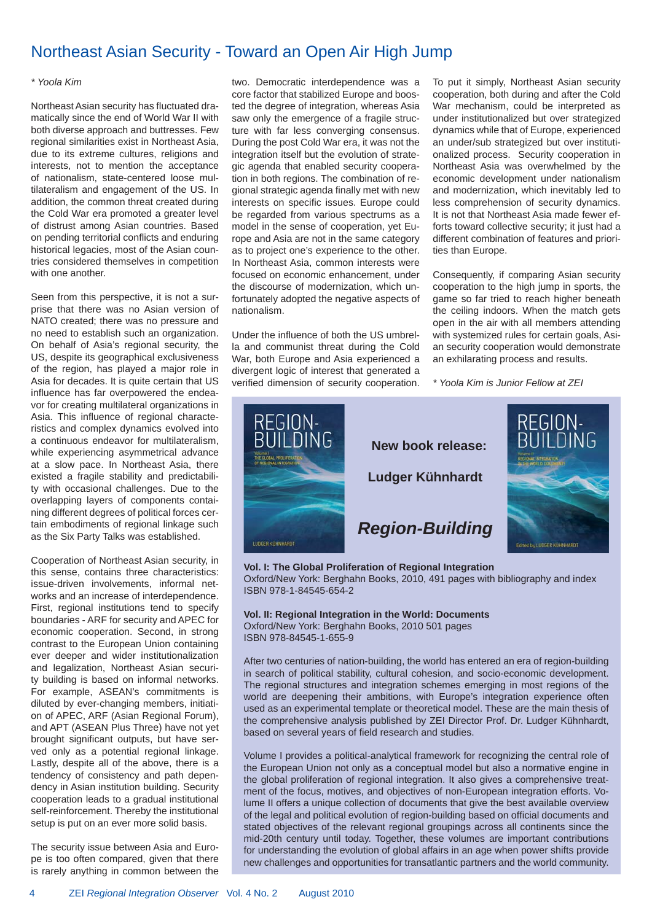# Northeast Asian Security - Toward an Open Air High Jump

## *\* Yoola Kim*

Northeast Asian security has fluctuated dramatically since the end of World War II with both diverse approach and buttresses. Few regional similarities exist in Northeast Asia, due to its extreme cultures, religions and interests, not to mention the acceptance of nationalism, state-centered loose multilateralism and engagement of the US. In addition, the common threat created during the Cold War era promoted a greater level of distrust among Asian countries. Based on pending territorial conflicts and enduring historical legacies, most of the Asian countries considered themselves in competition with one another.

Seen from this perspective, it is not a surprise that there was no Asian version of NATO created; there was no pressure and no need to establish such an organization. On behalf of Asia's regional security, the US, despite its geographical exclusiveness of the region, has played a major role in Asia for decades. It is quite certain that US influence has far overpowered the endeavor for creating multilateral organizations in Asia. This influence of regional characteristics and complex dynamics evolved into a continuous endeavor for multilateralism, while experiencing asymmetrical advance at a slow pace. In Northeast Asia, there existed a fragile stability and predictability with occasional challenges. Due to the overlapping layers of components containing different degrees of political forces certain embodiments of regional linkage such as the Six Party Talks was established.

Cooperation of Northeast Asian security, in this sense, contains three characteristics: issue-driven involvements, informal networks and an increase of interdependence. First, regional institutions tend to specify boundaries - ARF for security and APEC for economic cooperation. Second, in strong contrast to the European Union containing ever deeper and wider institutionalization and legalization, Northeast Asian security building is based on informal networks. For example, ASEAN's commitments is diluted by ever-changing members, initiation of APEC, ARF (Asian Regional Forum), and APT (ASEAN Plus Three) have not yet brought significant outputs, but have served only as a potential regional linkage. Lastly, despite all of the above, there is a tendency of consistency and path dependency in Asian institution building. Security cooperation leads to a gradual institutional self-reinforcement. Thereby the institutional setup is put on an ever more solid basis.

The security issue between Asia and Europe is too often compared, given that there is rarely anything in common between the two. Democratic interdependence was a core factor that stabilized Europe and boosted the degree of integration, whereas Asia saw only the emergence of a fragile structure with far less converging consensus. During the post Cold War era, it was not the integration itself but the evolution of strategic agenda that enabled security cooperation in both regions. The combination of regional strategic agenda finally met with new interests on specific issues. Europe could be regarded from various spectrums as a model in the sense of cooperation, yet Europe and Asia are not in the same category as to project one's experience to the other. In Northeast Asia, common interests were focused on economic enhancement, under the discourse of modernization, which unfortunately adopted the negative aspects of nationalism.

Under the influence of both the US umbrella and communist threat during the Cold War, both Europe and Asia experienced a divergent logic of interest that generated a verified dimension of security cooperation. To put it simply, Northeast Asian security cooperation, both during and after the Cold War mechanism, could be interpreted as under institutionalized but over strategized dynamics while that of Europe, experienced an under/sub strategized but over institutionalized process. Security cooperation in Northeast Asia was overwhelmed by the economic development under nationalism and modernization, which inevitably led to less comprehension of security dynamics. It is not that Northeast Asia made fewer efforts toward collective security; it just had a different combination of features and priorities than Europe.

Consequently, if comparing Asian security cooperation to the high jump in sports, the game so far tried to reach higher beneath the ceiling indoors. When the match gets open in the air with all members attending with systemized rules for certain goals, Asian security cooperation would demonstrate an exhilarating process and results.

*\* Yoola Kim is Junior Fellow at ZEI*



**Vol. I: The Global Proliferation of Regional Integration** Oxford/New York: Berghahn Books, 2010, 491 pages with bibliography and index ISBN 978-1-84545-654-2

**Vol. II: Regional Integration in the World: Documents** Oxford/New York: Berghahn Books, 2010 501 pages ISBN 978-84545-1-655-9

After two centuries of nation-building, the world has entered an era of region-building in search of political stability, cultural cohesion, and socio-economic development. The regional structures and integration schemes emerging in most regions of the world are deepening their ambitions, with Europe's integration experience often used as an experimental template or theoretical model. These are the main thesis of the comprehensive analysis published by ZEI Director Prof. Dr. Ludger Kühnhardt, based on several years of field research and studies.

Volume I provides a political-analytical framework for recognizing the central role of the European Union not only as a conceptual model but also a normative engine in the global proliferation of regional integration. It also gives a comprehensive treatment of the focus, motives, and objectives of non-European integration efforts. Volume II offers a unique collection of documents that give the best available overview of the legal and political evolution of region-building based on official documents and stated objectives of the relevant regional groupings across all continents since the mid-20th century until today. Together, these volumes are important contributions for understanding the evolution of global affairs in an age when power shifts provide new challenges and opportunities for transatlantic partners and the world community.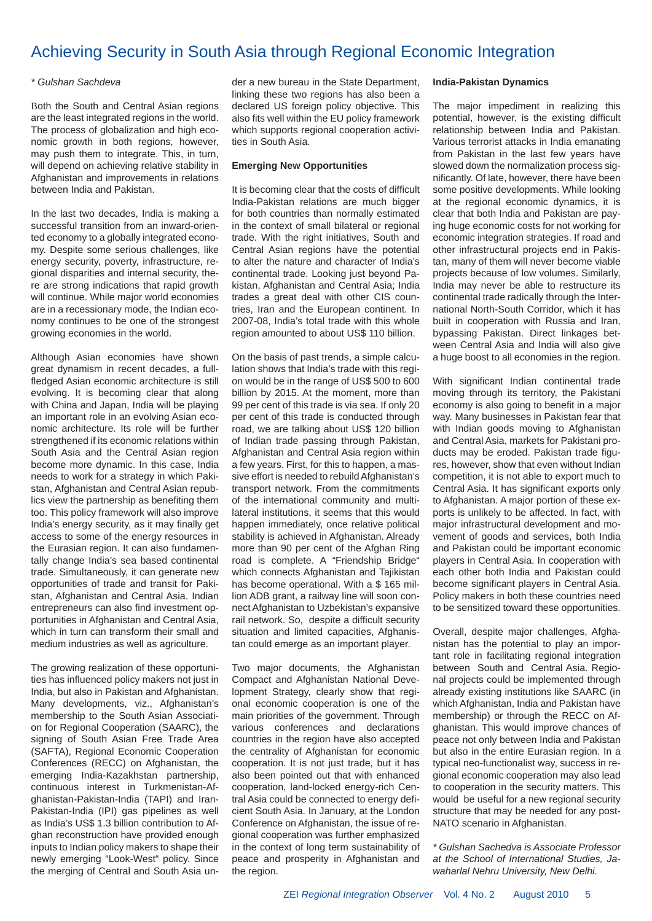# Achieving Security in South Asia through Regional Economic Integration

# *\* Gulshan Sachdeva*

Both the South and Central Asian regions are the least integrated regions in the world. The process of globalization and high economic growth in both regions, however, may push them to integrate. This, in turn, will depend on achieving relative stability in Afghanistan and improvements in relations between India and Pakistan.

In the last two decades, India is making a successful transition from an inward-oriented economy to a globally integrated economy. Despite some serious challenges, like energy security, poverty, infrastructure, regional disparities and internal security, there are strong indications that rapid growth will continue. While major world economies are in a recessionary mode, the Indian economy continues to be one of the strongest growing economies in the world.

Although Asian economies have shown great dynamism in recent decades, a fullfledged Asian economic architecture is still evolving. It is becoming clear that along with China and Japan, India will be playing an important role in an evolving Asian economic architecture. Its role will be further strengthened if its economic relations within South Asia and the Central Asian region become more dynamic. In this case, India needs to work for a strategy in which Pakistan, Afghanistan and Central Asian republics view the partnership as benefiting them too. This policy framework will also improve India's energy security, as it may finally get access to some of the energy resources in the Eurasian region. It can also fundamentally change India's sea based continental trade. Simultaneously, it can generate new opportunities of trade and transit for Pakistan, Afghanistan and Central Asia. Indian entrepreneurs can also find investment opportunities in Afghanistan and Central Asia, which in turn can transform their small and medium industries as well as agriculture.

The growing realization of these opportunities has influenced policy makers not just in India, but also in Pakistan and Afghanistan. Many developments, viz., Afghanistan's membership to the South Asian Association for Regional Cooperation (SAARC), the signing of South Asian Free Trade Area (SAFTA), Regional Economic Cooperation Conferences (RECC) on Afghanistan, the emerging India-Kazakhstan partnership, continuous interest in Turkmenistan-Afghanistan-Pakistan-India (TAPI) and Iran-Pakistan-India (IPI) gas pipelines as well as India's US\$ 1.3 billion contribution to Afghan reconstruction have provided enough inputs to Indian policy makers to shape their newly emerging "Look-West" policy. Since the merging of Central and South Asia under a new bureau in the State Department, linking these two regions has also been a declared US foreign policy objective. This also fits well within the EU policy framework which supports regional cooperation activities in South Asia.

# **Emerging New Opportunities**

It is becoming clear that the costs of difficult India-Pakistan relations are much bigger for both countries than normally estimated in the context of small bilateral or regional trade. With the right initiatives, South and Central Asian regions have the potential to alter the nature and character of India's continental trade. Looking just beyond Pakistan, Afghanistan and Central Asia; India trades a great deal with other CIS countries, Iran and the European continent. In 2007-08, India's total trade with this whole region amounted to about US\$ 110 billion.

On the basis of past trends, a simple calculation shows that India's trade with this region would be in the range of US\$ 500 to 600 billion by 2015. At the moment, more than 99 per cent of this trade is via sea. If only 20 per cent of this trade is conducted through road, we are talking about US\$ 120 billion of Indian trade passing through Pakistan, Afghanistan and Central Asia region within a few years. First, for this to happen, a massive effort is needed to rebuild Afghanistan's transport network. From the commitments of the international community and multilateral institutions, it seems that this would happen immediately, once relative political stability is achieved in Afghanistan. Already more than 90 per cent of the Afghan Ring road is complete. A "Friendship Bridge" which connects Afghanistan and Tajikistan has become operational. With a \$ 165 million ADB grant, a railway line will soon connect Afghanistan to Uzbekistan's expansive rail network. So, despite a difficult security situation and limited capacities, Afghanistan could emerge as an important player.

Two major documents, the Afghanistan Compact and Afghanistan National Development Strategy, clearly show that regional economic cooperation is one of the main priorities of the government. Through various conferences and declarations countries in the region have also accepted the centrality of Afghanistan for economic cooperation. It is not just trade, but it has also been pointed out that with enhanced cooperation, land-locked energy-rich Central Asia could be connected to energy deficient South Asia. In January, at the London Conference on Afghanistan, the issue of regional cooperation was further emphasized in the context of long term sustainability of peace and prosperity in Afghanistan and the region.

# **India-Pakistan Dynamics**

The major impediment in realizing this potential, however, is the existing difficult relationship between India and Pakistan. Various terrorist attacks in India emanating from Pakistan in the last few years have slowed down the normalization process significantly. Of late, however, there have been some positive developments. While looking at the regional economic dynamics, it is clear that both India and Pakistan are paying huge economic costs for not working for economic integration strategies. If road and other infrastructural projects end in Pakistan, many of them will never become viable projects because of low volumes. Similarly, India may never be able to restructure its continental trade radically through the International North-South Corridor, which it has built in cooperation with Russia and Iran, bypassing Pakistan. Direct linkages between Central Asia and India will also give a huge boost to all economies in the region.

With significant Indian continental trade moving through its territory, the Pakistani economy is also going to benefit in a major way. Many businesses in Pakistan fear that with Indian goods moving to Afghanistan and Central Asia, markets for Pakistani products may be eroded. Pakistan trade figures, however, show that even without Indian competition, it is not able to export much to Central Asia. It has significant exports only to Afghanistan. A major portion of these exports is unlikely to be affected. In fact, with major infrastructural development and movement of goods and services, both India and Pakistan could be important economic players in Central Asia. In cooperation with each other both India and Pakistan could become significant players in Central Asia. Policy makers in both these countries need to be sensitized toward these opportunities.

Overall, despite major challenges, Afghanistan has the potential to play an important role in facilitating regional integration between South and Central Asia. Regional projects could be implemented through already existing institutions like SAARC (in which Afghanistan, India and Pakistan have membership) or through the RECC on Afghanistan. This would improve chances of peace not only between India and Pakistan but also in the entire Eurasian region. In a typical neo-functionalist way, success in regional economic cooperation may also lead to cooperation in the security matters. This would be useful for a new regional security structure that may be needed for any post-NATO scenario in Afghanistan.

*\* Gulshan Sachedva is Associate Professor at the School of International Studies, Jawaharlal Nehru University, New Delhi.*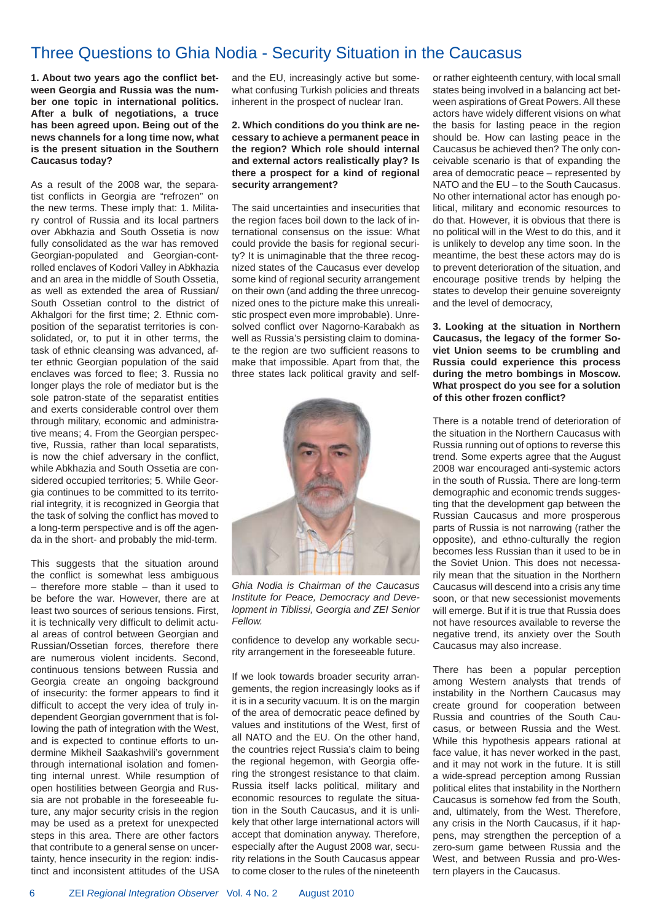# Three Questions to Ghia Nodia - Security Situation in the Caucasus

1. About two years ago the conflict bet**ween Georgia and Russia was the number one topic in international politics. After a bulk of negotiations, a truce has been agreed upon. Being out of the news channels for a long time now, what is the present situation in the Southern Caucasus today?**

As a result of the 2008 war, the separatist conflicts in Georgia are "refrozen" on the new terms. These imply that: 1. Military control of Russia and its local partners over Abkhazia and South Ossetia is now fully consolidated as the war has removed Georgian-populated and Georgian-controlled enclaves of Kodori Valley in Abkhazia and an area in the middle of South Ossetia, as well as extended the area of Russian/ South Ossetian control to the district of Akhalgori for the first time; 2. Ethnic composition of the separatist territories is consolidated, or, to put it in other terms, the task of ethnic cleansing was advanced, after ethnic Georgian population of the said enclaves was forced to flee; 3. Russia no longer plays the role of mediator but is the sole patron-state of the separatist entities and exerts considerable control over them through military, economic and administrative means; 4. From the Georgian perspective, Russia, rather than local separatists, is now the chief adversary in the conflict, while Abkhazia and South Ossetia are considered occupied territories; 5. While Georgia continues to be committed to its territorial integrity, it is recognized in Georgia that the task of solving the conflict has moved to a long-term perspective and is off the agenda in the short- and probably the mid-term.

This suggests that the situation around the conflict is somewhat less ambiguous – therefore more stable – than it used to be before the war. However, there are at least two sources of serious tensions. First, it is technically very difficult to delimit actual areas of control between Georgian and Russian/Ossetian forces, therefore there are numerous violent incidents. Second, continuous tensions between Russia and Georgia create an ongoing background of insecurity: the former appears to find it difficult to accept the very idea of truly independent Georgian government that is following the path of integration with the West, and is expected to continue efforts to undermine Mikheil Saakashvili's government through international isolation and fomenting internal unrest. While resumption of open hostilities between Georgia and Russia are not probable in the foreseeable future, any major security crisis in the region may be used as a pretext for unexpected steps in this area. There are other factors that contribute to a general sense on uncertainty, hence insecurity in the region: indistinct and inconsistent attitudes of the USA and the EU, increasingly active but somewhat confusing Turkish policies and threats inherent in the prospect of nuclear Iran.

# **2. Which conditions do you think are necessary to achieve a permanent peace in the region? Which role should internal and external actors realistically play? Is there a prospect for a kind of regional security arrangement?**

The said uncertainties and insecurities that the region faces boil down to the lack of international consensus on the issue: What could provide the basis for regional security? It is unimaginable that the three recognized states of the Caucasus ever develop some kind of regional security arrangement on their own (and adding the three unrecognized ones to the picture make this unrealistic prospect even more improbable). Unresolved conflict over Nagorno-Karabakh as well as Russia's persisting claim to dominate the region are two sufficient reasons to make that impossible. Apart from that, the three states lack political gravity and self-



*Ghia Nodia is Chairman of the Caucasus Institute for Peace, Democracy and Development in Tiblissi, Georgia and ZEI Senior Fellow.*

confidence to develop any workable security arrangement in the foreseeable future.

If we look towards broader security arrangements, the region increasingly looks as if it is in a security vacuum. It is on the margin of the area of democratic peace defined by values and institutions of the West, first of all NATO and the EU. On the other hand, the countries reject Russia's claim to being the regional hegemon, with Georgia offering the strongest resistance to that claim. Russia itself lacks political, military and economic resources to regulate the situation in the South Caucasus, and it is unlikely that other large international actors will accept that domination anyway. Therefore, especially after the August 2008 war, security relations in the South Caucasus appear to come closer to the rules of the nineteenth or rather eighteenth century, with local small states being involved in a balancing act between aspirations of Great Powers. All these actors have widely different visions on what the basis for lasting peace in the region should be. How can lasting peace in the Caucasus be achieved then? The only conceivable scenario is that of expanding the area of democratic peace – represented by NATO and the EU – to the South Caucasus. No other international actor has enough political, military and economic resources to do that. However, it is obvious that there is no political will in the West to do this, and it is unlikely to develop any time soon. In the meantime, the best these actors may do is to prevent deterioration of the situation, and encourage positive trends by helping the states to develop their genuine sovereignty and the level of democracy,

## **3. Looking at the situation in Northern Caucasus, the legacy of the former Soviet Union seems to be crumbling and Russia could experience this process during the metro bombings in Moscow. What prospect do you see for a solution of this other frozen confl ict?**

There is a notable trend of deterioration of the situation in the Northern Caucasus with Russia running out of options to reverse this trend. Some experts agree that the August 2008 war encouraged anti-systemic actors in the south of Russia. There are long-term demographic and economic trends suggesting that the development gap between the Russian Caucasus and more prosperous parts of Russia is not narrowing (rather the opposite), and ethno-culturally the region becomes less Russian than it used to be in the Soviet Union. This does not necessarily mean that the situation in the Northern Caucasus will descend into a crisis any time soon, or that new secessionist movements will emerge. But if it is true that Russia does not have resources available to reverse the negative trend, its anxiety over the South Caucasus may also increase.

There has been a popular perception among Western analysts that trends of instability in the Northern Caucasus may create ground for cooperation between Russia and countries of the South Caucasus, or between Russia and the West. While this hypothesis appears rational at face value, it has never worked in the past, and it may not work in the future. It is still a wide-spread perception among Russian political elites that instability in the Northern Caucasus is somehow fed from the South, and, ultimately, from the West. Therefore, any crisis in the North Caucasus, if it happens, may strengthen the perception of a zero-sum game between Russia and the West, and between Russia and pro-Western players in the Caucasus.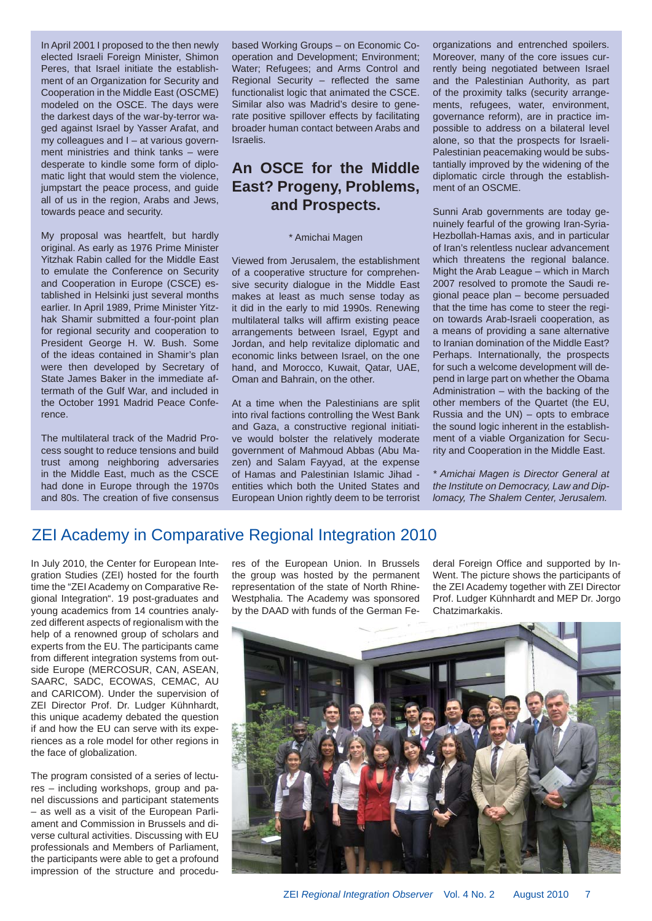In April 2001 I proposed to the then newly elected Israeli Foreign Minister, Shimon Peres, that Israel initiate the establishment of an Organization for Security and Cooperation in the Middle East (OSCME) modeled on the OSCE. The days were the darkest days of the war-by-terror waged against Israel by Yasser Arafat, and my colleagues and I – at various government ministries and think tanks – were desperate to kindle some form of diplomatic light that would stem the violence, jumpstart the peace process, and guide all of us in the region, Arabs and Jews, towards peace and security.

My proposal was heartfelt, but hardly original. As early as 1976 Prime Minister Yitzhak Rabin called for the Middle East to emulate the Conference on Security and Cooperation in Europe (CSCE) established in Helsinki just several months earlier. In April 1989, Prime Minister Yitzhak Shamir submitted a four-point plan for regional security and cooperation to President George H. W. Bush. Some of the ideas contained in Shamir's plan were then developed by Secretary of State James Baker in the immediate aftermath of the Gulf War, and included in the October 1991 Madrid Peace Conference.

The multilateral track of the Madrid Process sought to reduce tensions and build trust among neighboring adversaries in the Middle East, much as the CSCE had done in Europe through the 1970s and 80s. The creation of five consensus based Working Groups – on Economic Cooperation and Development; Environment; Water; Refugees; and Arms Control and Regional Security – reflected the same functionalist logic that animated the CSCE. Similar also was Madrid's desire to generate positive spillover effects by facilitating broader human contact between Arabs and Israelis.

# **An OSCE for the Middle East? Progeny, Problems, and Prospects.**

## \* Amichai Magen

Viewed from Jerusalem, the establishment of a cooperative structure for comprehensive security dialogue in the Middle East makes at least as much sense today as it did in the early to mid 1990s. Renewing multilateral talks will affirm existing peace arrangements between Israel, Egypt and Jordan, and help revitalize diplomatic and economic links between Israel, on the one hand, and Morocco, Kuwait, Qatar, UAE, Oman and Bahrain, on the other.

At a time when the Palestinians are split into rival factions controlling the West Bank and Gaza, a constructive regional initiative would bolster the relatively moderate government of Mahmoud Abbas (Abu Mazen) and Salam Fayyad, at the expense of Hamas and Palestinian Islamic Jihad entities which both the United States and European Union rightly deem to be terrorist organizations and entrenched spoilers. Moreover, many of the core issues currently being negotiated between Israel and the Palestinian Authority, as part of the proximity talks (security arrangements, refugees, water, environment, governance reform), are in practice impossible to address on a bilateral level alone, so that the prospects for Israeli-Palestinian peacemaking would be substantially improved by the widening of the diplomatic circle through the establishment of an OSCME.

Sunni Arab governments are today genuinely fearful of the growing Iran-Syria-Hezbollah-Hamas axis, and in particular of Iran's relentless nuclear advancement which threatens the regional balance. Might the Arab League – which in March 2007 resolved to promote the Saudi regional peace plan – become persuaded that the time has come to steer the region towards Arab-Israeli cooperation, as a means of providing a sane alternative to Iranian domination of the Middle East? Perhaps. Internationally, the prospects for such a welcome development will depend in large part on whether the Obama Administration – with the backing of the other members of the Quartet (the EU, Russia and the UN) – opts to embrace the sound logic inherent in the establishment of a viable Organization for Security and Cooperation in the Middle East.

*\* Amichai Magen is Director General at the Institute on Democracy, Law and Diplomacy, The Shalem Center, Jerusalem.* 

# ZEI Academy in Comparative Regional Integration 2010

In July 2010, the Center for European Integration Studies (ZEI) hosted for the fourth time the "ZEI Academy on Comparative Regional Integration". 19 post-graduates and young academics from 14 countries analyzed different aspects of regionalism with the help of a renowned group of scholars and experts from the EU. The participants came from different integration systems from outside Europe (MERCOSUR, CAN, ASEAN, SAARC, SADC, ECOWAS, CEMAC, AU and CARICOM). Under the supervision of ZEI Director Prof. Dr. Ludger Kühnhardt, this unique academy debated the question if and how the EU can serve with its experiences as a role model for other regions in the face of globalization.

The program consisted of a series of lectures – including workshops, group and panel discussions and participant statements – as well as a visit of the European Parliament and Commission in Brussels and diverse cultural activities. Discussing with EU professionals and Members of Parliament, the participants were able to get a profound impression of the structure and procedures of the European Union. In Brussels the group was hosted by the permanent representation of the state of North Rhine-Westphalia. The Academy was sponsored by the DAAD with funds of the German Federal Foreign Office and supported by In-Went. The picture shows the participants of the ZEI Academy together with ZEI Director Prof. Ludger Kühnhardt and MEP Dr. Jorgo Chatzimarkakis.